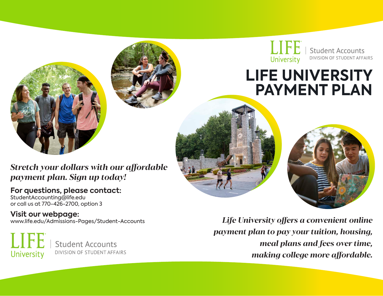



**Student Accounts** DIVISION OF STUDENT AFFAIRS

# **LIFE UNIVERSITY PAYMENT PLAN**

### *Stretch your dollars with our affordable payment plan. Sign up today!*

#### **For questions, please contact:**

StudentAccounting@life.edu or call us at 770-426-2700, option 3

**Visit our webpage:** 

**Student Accounts** DIVISION OF STUDENT AFFAIRS University

Life University offers a convenient online *payment plan to pay your tuition, housing, meal plans and fees over time, making college more affordable.*